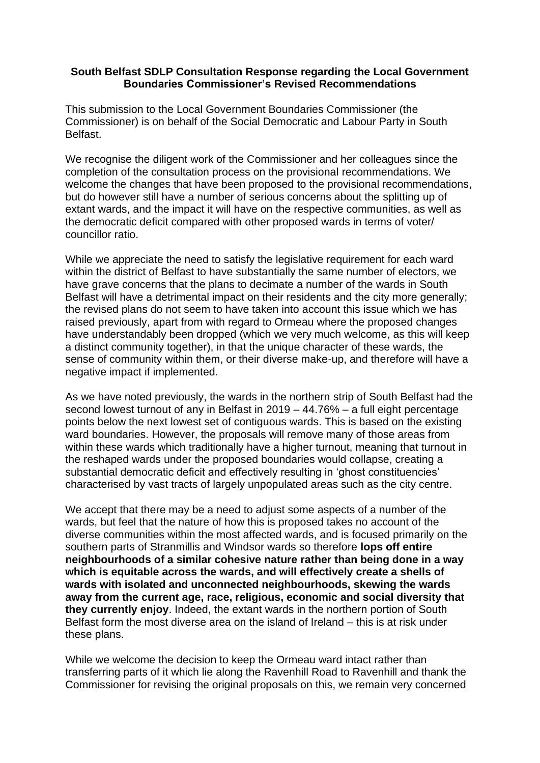## **South Belfast SDLP Consultation Response regarding the Local Government Boundaries Commissioner's Revised Recommendations**

This submission to the Local Government Boundaries Commissioner (the Commissioner) is on behalf of the Social Democratic and Labour Party in South Belfast.

We recognise the diligent work of the Commissioner and her colleagues since the completion of the consultation process on the provisional recommendations. We welcome the changes that have been proposed to the provisional recommendations, but do however still have a number of serious concerns about the splitting up of extant wards, and the impact it will have on the respective communities, as well as the democratic deficit compared with other proposed wards in terms of voter/ councillor ratio.

While we appreciate the need to satisfy the legislative requirement for each ward within the district of Belfast to have substantially the same number of electors, we have grave concerns that the plans to decimate a number of the wards in South Belfast will have a detrimental impact on their residents and the city more generally; the revised plans do not seem to have taken into account this issue which we has raised previously, apart from with regard to Ormeau where the proposed changes have understandably been dropped (which we very much welcome, as this will keep a distinct community together), in that the unique character of these wards, the sense of community within them, or their diverse make-up, and therefore will have a negative impact if implemented.

As we have noted previously, the wards in the northern strip of South Belfast had the second lowest turnout of any in Belfast in 2019 – 44.76% – a full eight percentage points below the next lowest set of contiguous wards. This is based on the existing ward boundaries. However, the proposals will remove many of those areas from within these wards which traditionally have a higher turnout, meaning that turnout in the reshaped wards under the proposed boundaries would collapse, creating a substantial democratic deficit and effectively resulting in 'ghost constituencies' characterised by vast tracts of largely unpopulated areas such as the city centre.

We accept that there may be a need to adjust some aspects of a number of the wards, but feel that the nature of how this is proposed takes no account of the diverse communities within the most affected wards, and is focused primarily on the southern parts of Stranmillis and Windsor wards so therefore **lops off entire neighbourhoods of a similar cohesive nature rather than being done in a way which is equitable across the wards, and will effectively create a shells of wards with isolated and unconnected neighbourhoods, skewing the wards away from the current age, race, religious, economic and social diversity that they currently enjoy**. Indeed, the extant wards in the northern portion of South Belfast form the most diverse area on the island of Ireland – this is at risk under these plans.

While we welcome the decision to keep the Ormeau ward intact rather than transferring parts of it which lie along the Ravenhill Road to Ravenhill and thank the Commissioner for revising the original proposals on this, we remain very concerned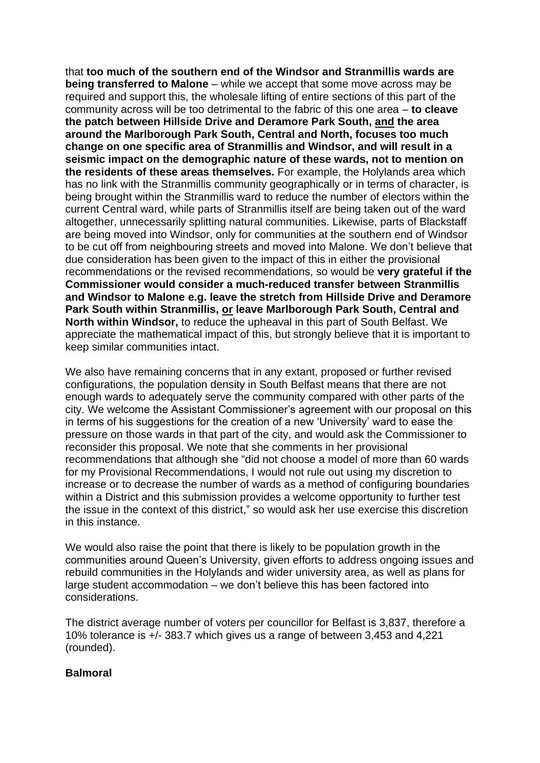that **too much of the southern end of the Windsor and Stranmillis wards are being transferred to Malone** – while we accept that some move across may be required and support this, the wholesale lifting of entire sections of this part of the community across will be too detrimental to the fabric of this one area – **to cleave the patch between Hillside Drive and Deramore Park South, and the area around the Marlborough Park South, Central and North, focuses too much change on one specific area of Stranmillis and Windsor, and will result in a seismic impact on the demographic nature of these wards, not to mention on the residents of these areas themselves.** For example, the Holylands area which has no link with the Stranmillis community geographically or in terms of character, is being brought within the Stranmillis ward to reduce the number of electors within the current Central ward, while parts of Stranmillis itself are being taken out of the ward altogether, unnecessarily splitting natural communities. Likewise, parts of Blackstaff are being moved into Windsor, only for communities at the southern end of Windsor to be cut off from neighbouring streets and moved into Malone. We don't believe that due consideration has been given to the impact of this in either the provisional recommendations or the revised recommendations, so would be **very grateful if the Commissioner would consider a much-reduced transfer between Stranmillis and Windsor to Malone e.g. leave the stretch from Hillside Drive and Deramore Park South within Stranmillis, or leave Marlborough Park South, Central and North within Windsor,** to reduce the upheaval in this part of South Belfast. We appreciate the mathematical impact of this, but strongly believe that it is important to keep similar communities intact.

We also have remaining concerns that in any extant, proposed or further revised configurations, the population density in South Belfast means that there are not enough wards to adequately serve the community compared with other parts of the city. We welcome the Assistant Commissioner's agreement with our proposal on this in terms of his suggestions for the creation of a new 'University' ward to ease the pressure on those wards in that part of the city, and would ask the Commissioner to reconsider this proposal. We note that she comments in her provisional recommendations that although she "did not choose a model of more than 60 wards for my Provisional Recommendations, I would not rule out using my discretion to increase or to decrease the number of wards as a method of configuring boundaries within a District and this submission provides a welcome opportunity to further test the issue in the context of this district," so would ask her use exercise this discretion in this instance.

We would also raise the point that there is likely to be population growth in the communities around Queen's University, given efforts to address ongoing issues and rebuild communities in the Holylands and wider university area, as well as plans for large student accommodation – we don't believe this has been factored into considerations.

The district average number of voters per councillor for Belfast is 3,837, therefore a 10% tolerance is +/- 383.7 which gives us a range of between 3,453 and 4,221 (rounded).

## **Balmoral**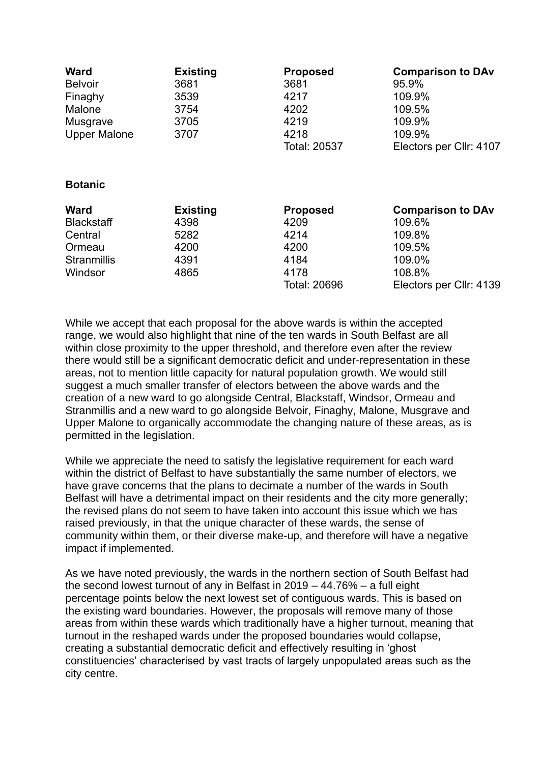| <b>Ward</b>         | <b>Existing</b> | <b>Proposed</b> | <b>Comparison to DAv</b> |
|---------------------|-----------------|-----------------|--------------------------|
| <b>Belvoir</b>      | 3681            | 3681            | 95.9%                    |
| Finaghy             | 3539            | 4217            | 109.9%                   |
| Malone              | 3754            | 4202            | 109.5%                   |
| Musgrave            | 3705            | 4219            | 109.9%                   |
| <b>Upper Malone</b> | 3707            | 4218            | 109.9%                   |
|                     |                 | Total: 20537    | Electors per Cllr: 4107  |

## **Botanic**

| <b>Ward</b>        | <b>Existing</b> | <b>Proposed</b> | <b>Comparison to DAv</b> |
|--------------------|-----------------|-----------------|--------------------------|
| <b>Blackstaff</b>  | 4398            | 4209            | 109.6%                   |
| Central            | 5282            | 4214            | 109.8%                   |
| Ormeau             | 4200            | 4200            | 109.5%                   |
| <b>Stranmillis</b> | 4391            | 4184            | 109.0%                   |
| Windsor            | 4865            | 4178            | 108.8%                   |
|                    |                 | Total: 20696    | Electors per Cllr: 4139  |

While we accept that each proposal for the above wards is within the accepted range, we would also highlight that nine of the ten wards in South Belfast are all within close proximity to the upper threshold, and therefore even after the review there would still be a significant democratic deficit and under-representation in these areas, not to mention little capacity for natural population growth. We would still suggest a much smaller transfer of electors between the above wards and the creation of a new ward to go alongside Central, Blackstaff, Windsor, Ormeau and Stranmillis and a new ward to go alongside Belvoir, Finaghy, Malone, Musgrave and Upper Malone to organically accommodate the changing nature of these areas, as is permitted in the legislation.

While we appreciate the need to satisfy the legislative requirement for each ward within the district of Belfast to have substantially the same number of electors, we have grave concerns that the plans to decimate a number of the wards in South Belfast will have a detrimental impact on their residents and the city more generally; the revised plans do not seem to have taken into account this issue which we has raised previously, in that the unique character of these wards, the sense of community within them, or their diverse make-up, and therefore will have a negative impact if implemented.

As we have noted previously, the wards in the northern section of South Belfast had the second lowest turnout of any in Belfast in 2019 – 44.76% – a full eight percentage points below the next lowest set of contiguous wards. This is based on the existing ward boundaries. However, the proposals will remove many of those areas from within these wards which traditionally have a higher turnout, meaning that turnout in the reshaped wards under the proposed boundaries would collapse, creating a substantial democratic deficit and effectively resulting in 'ghost constituencies' characterised by vast tracts of largely unpopulated areas such as the city centre.